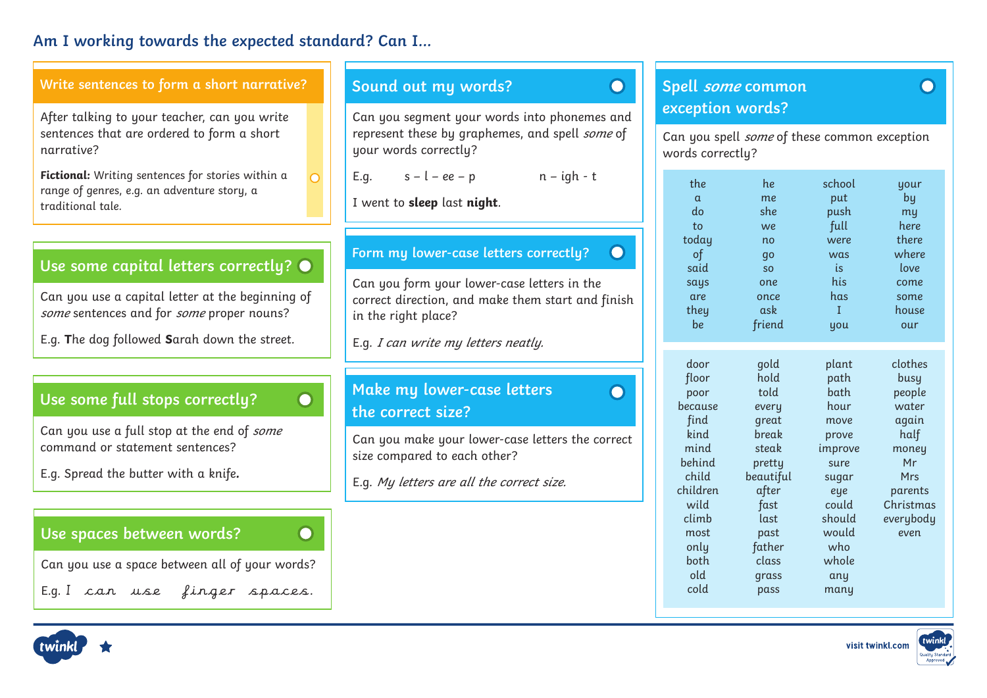# **Am I working towards the expected standard? Can I...**





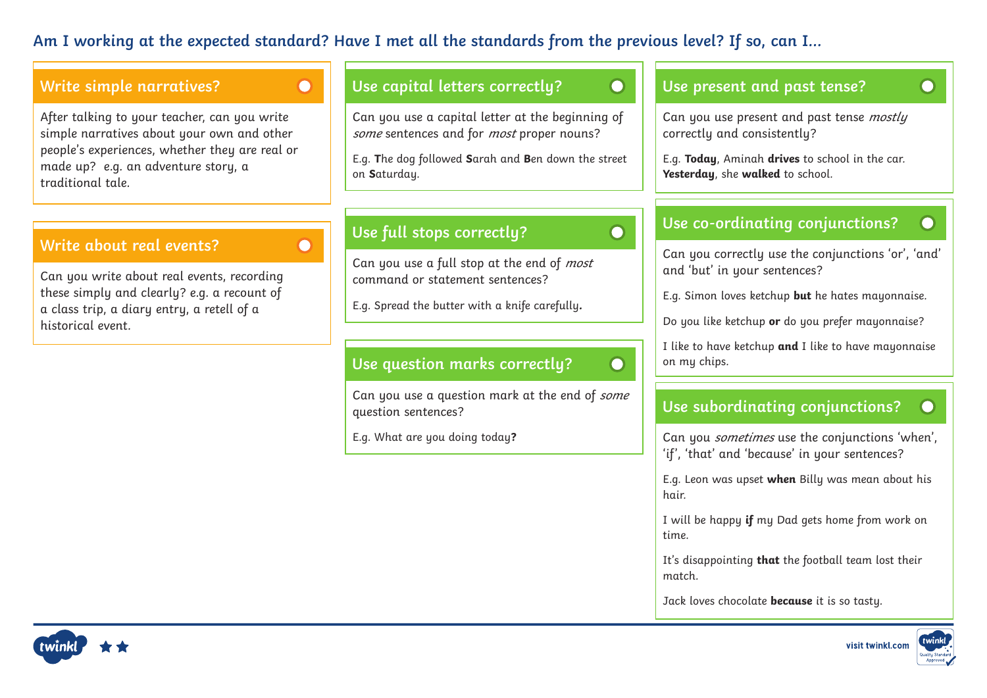## **Am I working at the expected standard? Have I met all the standards from the previous level? If so, can I...**

 $\bigcap$ 

 $\bigcap$ 

### **Write simple narratives?**

After talking to your teacher, can you write simple narratives about your own and other people's experiences, whether they are real or made up? e.g. an adventure story, a traditional tale.

### **Write about real events?**

Can you write about real events, recording these simply and clearly? e.g. a recount of a class trip, a diary entry, a retell of a historical event.

## **Use capital letters correctly?**

Can you use a capital letter at the beginning of some sentences and for *most* proper nouns?

E.g. **T**he dog followed **S**arah and **B**en down the street on **S**aturday.

# **Use full stops correctly?**

Can you use a full stop at the end of *most* command or statement sentences?

E.g. Spread the butter with a knife carefully**.**

### **Use question marks correctly?**



 $\bigcap$ 

 $\overline{\mathbf{O}}$ 

Can you use a question mark at the end of *some* question sentences?

E.g. What are you doing today**?**

#### **Use present and past tense?**

Can you use present and past tense *mostly* correctly and consistently?

E.g. **Today**, Aminah **drives** to school in the car. **Yesterday**, she **walked** to school.

### **Use co-ordinating conjunctions?**

Can you correctly use the conjunctions 'or', 'and' and 'but' in your sentences?

E.g. Simon loves ketchup **but** he hates mayonnaise.

Do you like ketchup **or** do you prefer mayonnaise?

I like to have ketchup **and** I like to have mayonnaise on my chips.

## **Use subordinating conjunctions?**

Can you *sometimes* use the conjunctions 'when', 'if', 'that' and 'because' in your sentences?

E.g. Leon was upset **when** Billy was mean about his hair.

I will be happy **if** my Dad gets home from work on time.

It's disappointing **that** the football team lost their match.

Jack loves chocolate **because** it is so tasty.





 $\bigcap$ 

 $\bigcirc$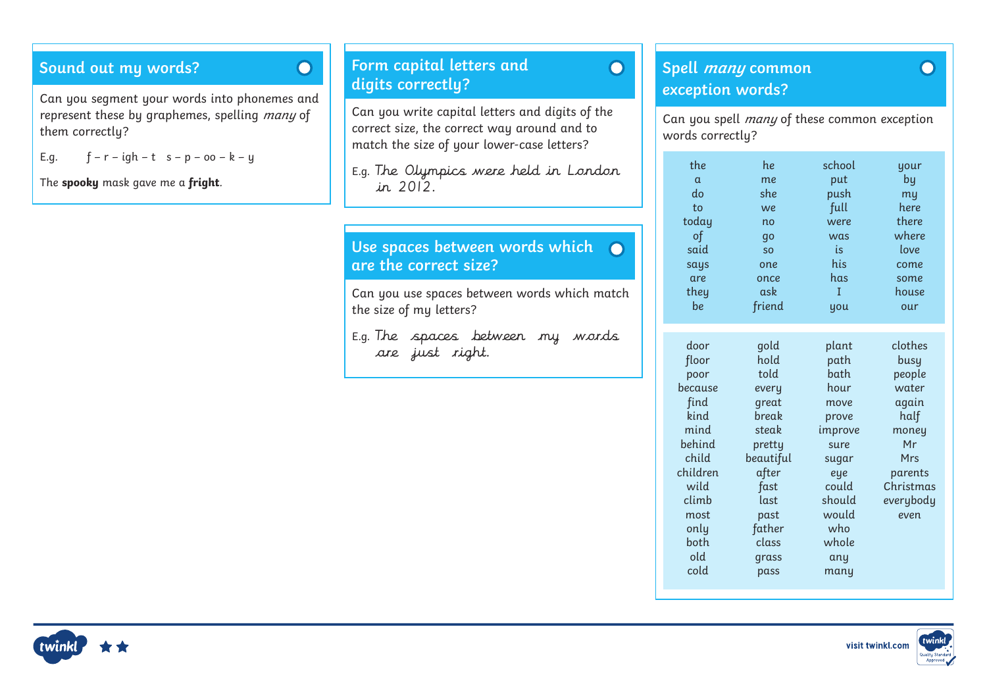# **Sound out my words?**

 $\overline{O}$ 

Can you segment your words into phonemes and represent these by graphemes, spelling *many* of them correctly?

E.g. 
$$
f-r-igh-t \ s-p-oo-k-y
$$

The **spooky** mask gave me a **fright**.

# **Form capital letters and digits correctly?**

Can you write capital letters and digits of the correct size, the correct way around and to match the size of your lower-case letters?

E.g. The Olympics were held in London in 2012.

## **Use spaces between words which are the correct size?**

Can you use spaces between words which match the size of my letters?

E.g. The spaces between my words are just right.

**Spell many common exception words?**

 $\overline{\bigcirc}$ 

Can you spell many of these common exception words correctly?

| the   | school<br>he |      | your  |
|-------|--------------|------|-------|
| α     | me           | put  | by    |
| do    | she          | push | my    |
| to    | we           | full | here  |
| today | no           | were | there |
| of    | qo           | was  | where |
| said  | <b>SO</b>    | is   | love  |
| says  | one          | his  | come  |
| are   | once         | has  | some  |
| they  | ask          | T    | house |
| be    | friend       | you  | our   |

| door     | gold      | plant   | clothes   |  |
|----------|-----------|---------|-----------|--|
| floor    | hold      | path    | busy      |  |
| poor     | told      | bath    | people    |  |
| because  | every     | hour    | water     |  |
| find     | great     | move    | again     |  |
| kind     | break     | prove   | half      |  |
| mind     | steak     | improve | money     |  |
| behind   | pretty    | sure    | Mr        |  |
| child    | beautiful | sugar   | Mrs       |  |
| children | after     | eye     | parents   |  |
| wild     | fast      | could   | Christmas |  |
| climb    | last      | should  | everybody |  |
| most     | past      | would   | even      |  |
| only     | father    | who     |           |  |
| both     | class     | whole   |           |  |
| old      | grass     | any     |           |  |
| cold     | pass      | many    |           |  |
|          |           |         |           |  |





 $\mathbf O$